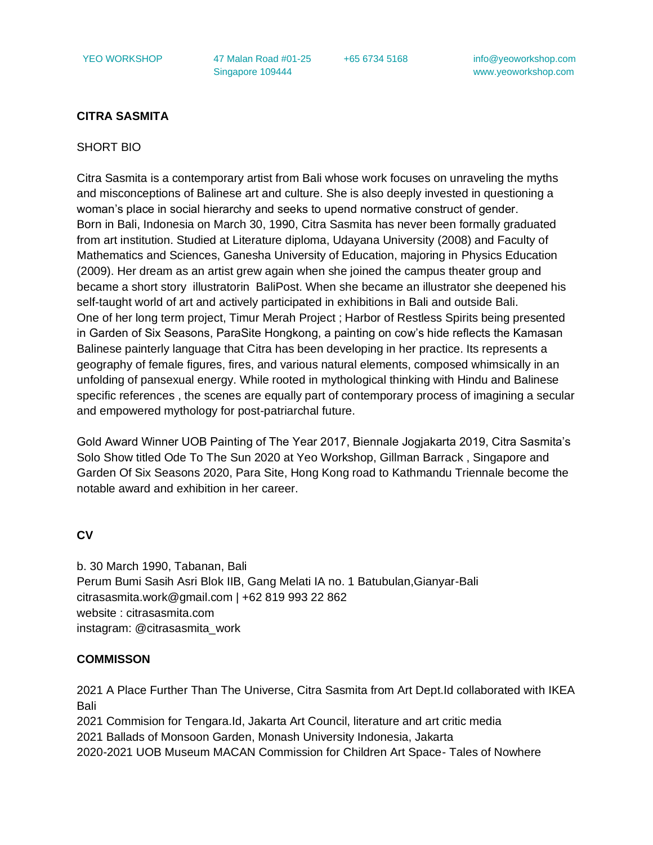YEO WORKSHOP 47 Malan Road #01-25 Singapore 109444

+65 6734 5168 info@yeoworkshop.com www.yeoworkshop.com

### **CITRA SASMITA**

#### SHORT BIO

Citra Sasmita is a contemporary artist from Bali whose work focuses on unraveling the myths and misconceptions of Balinese art and culture. She is also deeply invested in questioning a woman's place in social hierarchy and seeks to upend normative construct of gender. Born in Bali, Indonesia on March 30, 1990, Citra Sasmita has never been formally graduated from art institution. Studied at Literature diploma, Udayana University (2008) and Faculty of Mathematics and Sciences, Ganesha University of Education, majoring in Physics Education (2009). Her dream as an artist grew again when she joined the campus theater group and became a short story illustratorin BaliPost. When she became an illustrator she deepened his self-taught world of art and actively participated in exhibitions in Bali and outside Bali. One of her long term project, Timur Merah Project ; Harbor of Restless Spirits being presented in Garden of Six Seasons, ParaSite Hongkong, a painting on cow's hide reflects the Kamasan Balinese painterly language that Citra has been developing in her practice. Its represents a geography of female figures, fires, and various natural elements, composed whimsically in an unfolding of pansexual energy. While rooted in mythological thinking with Hindu and Balinese specific references , the scenes are equally part of contemporary process of imagining a secular and empowered mythology for post-patriarchal future.

Gold Award Winner UOB Painting of The Year 2017, Biennale Jogjakarta 2019, Citra Sasmita's Solo Show titled Ode To The Sun 2020 at Yeo Workshop, Gillman Barrack , Singapore and Garden Of Six Seasons 2020, Para Site, Hong Kong road to Kathmandu Triennale become the notable award and exhibition in her career.

## **CV**

b. 30 March 1990, Tabanan, Bali Perum Bumi Sasih Asri Blok IIB, Gang Melati IA no. 1 Batubulan,Gianyar-Bali citrasasmita.work@gmail.com | +62 819 993 22 862 website : citrasasmita.com instagram: @citrasasmita\_work

### **COMMISSON**

2021 A Place Further Than The Universe, Citra Sasmita from Art Dept.Id collaborated with IKEA Bali

2021 Commision for Tengara.Id, Jakarta Art Council, literature and art critic media 2021 Ballads of Monsoon Garden, Monash University Indonesia, Jakarta 2020-2021 UOB Museum MACAN Commission for Children Art Space- Tales of Nowhere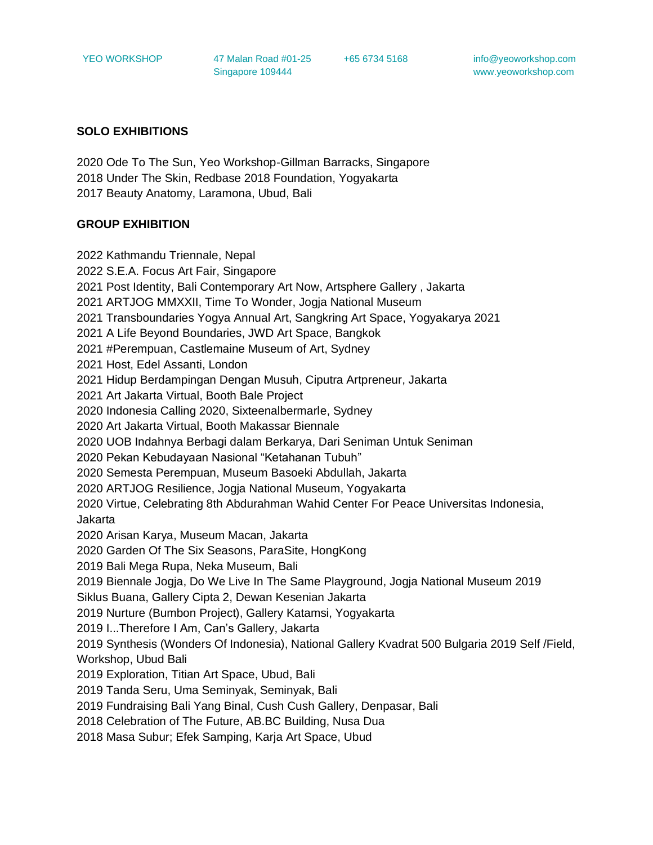YEO WORKSHOP 47 Malan Road #01-25 Singapore 109444

+65 6734 5168 info@yeoworkshop.com www.yeoworkshop.com

#### **SOLO EXHIBITIONS**

2020 Ode To The Sun, Yeo Workshop-Gillman Barracks, Singapore 2018 Under The Skin, Redbase 2018 Foundation, Yogyakarta 2017 Beauty Anatomy, Laramona, Ubud, Bali

#### **GROUP EXHIBITION**

2022 Kathmandu Triennale, Nepal 2022 S.E.A. Focus Art Fair, Singapore 2021 Post Identity, Bali Contemporary Art Now, Artsphere Gallery , Jakarta 2021 ARTJOG MMXXII, Time To Wonder, Jogja National Museum 2021 Transboundaries Yogya Annual Art, Sangkring Art Space, Yogyakarya 2021 2021 A Life Beyond Boundaries, JWD Art Space, Bangkok 2021 #Perempuan, Castlemaine Museum of Art, Sydney 2021 Host, Edel Assanti, London 2021 Hidup Berdampingan Dengan Musuh, Ciputra Artpreneur, Jakarta 2021 Art Jakarta Virtual, Booth Bale Project 2020 Indonesia Calling 2020, Sixteenalbermarle, Sydney 2020 Art Jakarta Virtual, Booth Makassar Biennale 2020 UOB Indahnya Berbagi dalam Berkarya, Dari Seniman Untuk Seniman 2020 Pekan Kebudayaan Nasional "Ketahanan Tubuh" 2020 Semesta Perempuan, Museum Basoeki Abdullah, Jakarta 2020 ARTJOG Resilience, Jogja National Museum, Yogyakarta 2020 Virtue, Celebrating 8th Abdurahman Wahid Center For Peace Universitas Indonesia, Jakarta 2020 Arisan Karya, Museum Macan, Jakarta 2020 Garden Of The Six Seasons, ParaSite, HongKong 2019 Bali Mega Rupa, Neka Museum, Bali 2019 Biennale Jogja, Do We Live In The Same Playground, Jogja National Museum 2019 Siklus Buana, Gallery Cipta 2, Dewan Kesenian Jakarta 2019 Nurture (Bumbon Project), Gallery Katamsi, Yogyakarta 2019 I...Therefore I Am, Can's Gallery, Jakarta 2019 Synthesis (Wonders Of Indonesia), National Gallery Kvadrat 500 Bulgaria 2019 Self /Field, Workshop, Ubud Bali 2019 Exploration, Titian Art Space, Ubud, Bali 2019 Tanda Seru, Uma Seminyak, Seminyak, Bali 2019 Fundraising Bali Yang Binal, Cush Cush Gallery, Denpasar, Bali 2018 Celebration of The Future, AB.BC Building, Nusa Dua 2018 Masa Subur; Efek Samping, Karja Art Space, Ubud